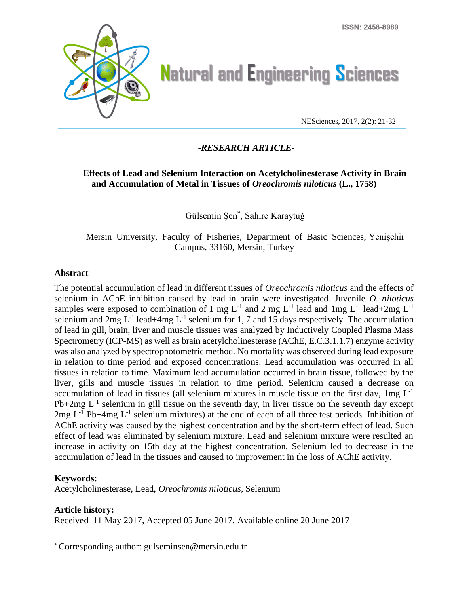

# **Natural and Engineering Sciences**

NESciences, 2017, 2(2): 21-32

## **-***RESEARCH ARTICLE***-**

## **Effects of Lead and Selenium Interaction on Acetylcholinesterase Activity in Brain and Accumulation of Metal in Tissues of** *Oreochromis niloticus* **(L., 1758)**

Gülsemin Şen\* , Sahire Karaytuğ

Mersin University, Faculty of Fisheries, Department of Basic Sciences, Yenişehir Campus, 33160, Mersin, Turkey

#### **Abstract**

The potential accumulation of lead in different tissues of *Oreochromis niloticus* and the effects of selenium in AChE inhibition caused by lead in brain were investigated. Juvenile *O. niloticus* samples were exposed to combination of 1 mg  $L^{-1}$  and 2 mg  $L^{-1}$  lead and 1mg  $L^{-1}$  lead+2mg  $L^{-1}$ selenium and  $2mg L^{-1}$  lead+4mg  $L^{-1}$  selenium for 1, 7 and 15 days respectively. The accumulation of lead in gill, brain, liver and muscle tissues was analyzed by Inductively Coupled Plasma Mass Spectrometry (ICP-MS) as well as brain acetylcholinesterase (AChE, E.C.3.1.1.7) enzyme activity was also analyzed by spectrophotometric method. No mortality was observed during lead exposure in relation to time period and exposed concentrations. Lead accumulation was occurred in all tissues in relation to time. Maximum lead accumulation occurred in brain tissue, followed by the liver, gills and muscle tissues in relation to time period. Selenium caused a decrease on accumulation of lead in tissues (all selenium mixtures in muscle tissue on the first day,  $1mg L<sup>-1</sup>$  $Pb+2mg L<sup>-1</sup>$  selenium in gill tissue on the seventh day, in liver tissue on the seventh day except  $2mg L<sup>-1</sup>$  Pb+4mg  $L<sup>-1</sup>$  selenium mixtures) at the end of each of all three test periods. Inhibition of AChE activity was caused by the highest concentration and by the short-term effect of lead. Such effect of lead was eliminated by selenium mixture. Lead and selenium mixture were resulted an increase in activity on 15th day at the highest concentration. Selenium led to decrease in the accumulation of lead in the tissues and caused to improvement in the loss of AChE activity.

## **Keywords:**

 $\overline{a}$ 

Acetylcholinesterase, Lead, *Oreochromis niloticus*, Selenium

## **Article history:**

Received 11 May 2017, Accepted 05 June 2017, Available online 20 June 2017

<sup>\*</sup> Corresponding author: gulseminsen@mersin.edu.tr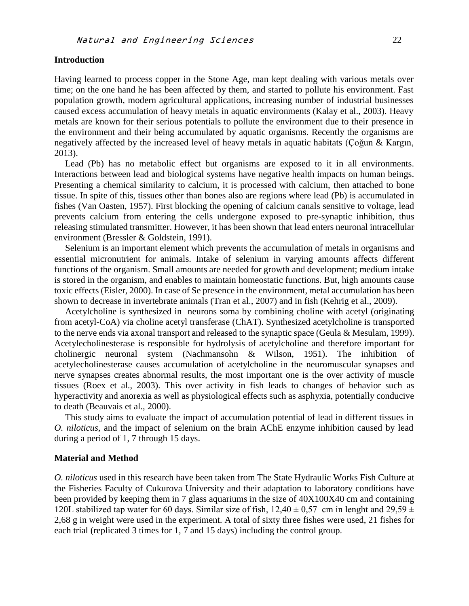#### **Introduction**

Having learned to process copper in the Stone Age, man kept dealing with various metals over time; on the one hand he has been affected by them, and started to pollute his environment. Fast population growth, modern agricultural applications, increasing number of industrial businesses caused excess accumulation of heavy metals in aquatic environments (Kalay et al., 2003). Heavy metals are known for their serious potentials to pollute the environment due to their presence in the environment and their being accumulated by aquatic organisms. Recently the organisms are negatively affected by the increased level of heavy metals in aquatic habitats (Çoğun & Kargın, 2013).

Lead (Pb) has no metabolic effect but organisms are exposed to it in all environments. Interactions between lead and biological systems have negative health impacts on human beings. Presenting a chemical similarity to calcium, it is processed with calcium, then attached to bone tissue. In spite of this, tissues other than bones also are regions where lead (Pb) is accumulated in fishes (Van Oasten, 1957). First blocking the opening of calcium canals sensitive to voltage, lead prevents calcium from entering the cells undergone exposed to pre-synaptic inhibition, thus releasing stimulated transmitter. However, it has been shown that lead enters neuronal intracellular environment (Bressler & Goldstein, 1991).

Selenium is an important element which prevents the accumulation of metals in organisms and essential micronutrient for animals. Intake of selenium in varying amounts affects different functions of the organism. Small amounts are needed for growth and development; medium intake is stored in the organism, and enables to maintain homeostatic functions. But, high amounts cause toxic effects (Eisler, 2000). In case of Se presence in the environment, metal accumulation has been shown to decrease in invertebrate animals (Tran et al., 2007) and in fish (Kehrig et al., 2009).

Acetylcholine is synthesized in [neurons](http://en.wikipedia.org/wiki/Neuron) soma by combining choline with acetyl (originating from [acetyl-CoA\)](http://en.wikipedia.org/wiki/Acetyl-CoA) via choline acetyl transferase (ChAT). Synthesized acetylcholine is transported to the nerve ends via axonal transport and released to the synaptic space (Geula & Mesulam, 1999). Acetylecholinesterase is responsible for hydrolysis of acetylcholine and therefore important for cholinergic neuronal system (Nachmansohn & Wilson, 1951). The inhibition of acetylecholinesterase causes accumulation of acetylcholine in the neuromuscular synapses and nerve synapses creates abnormal results, the most important one is the over activity of muscle tissues (Roex et al., 2003). This over activity in fish leads to changes of behavior such as hyperactivity and anorexia as well as physiological effects such as asphyxia, potentially conducive to death (Beauvais et al., 2000).

This study aims to evaluate the impact of accumulation potential of lead in different tissues in *O. niloticus*, and the impact of selenium on the brain AChE enzyme inhibition caused by lead during a period of 1, 7 through 15 days.

#### **Material and Method**

*O. niloticus* used in this research have been taken from The State Hydraulic Works Fish Culture at the Fisheries Faculty of Cukurova University and their adaptation to laboratory conditions have been provided by keeping them in 7 glass aquariums in the size of 40X100X40 cm and containing 120L stabilized tap water for 60 days. Similar size of fish,  $12.40 \pm 0.57$  cm in lenght and  $29.59 \pm 0.57$ 2,68 g in weight were used in the experiment. A total of sixty three fishes were used, 21 fishes for each trial (replicated 3 times for 1, 7 and 15 days) including the control group.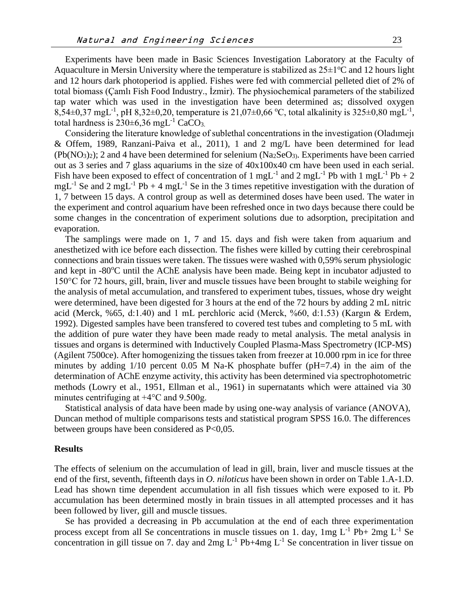Experiments have been made in Basic Sciences Investigation Laboratory at the Faculty of Aquaculture in Mersin University where the temperature is stabilized as  $25\pm1\degree C$  and 12 hours light and 12 hours dark photoperiod is applied. Fishes were fed with commercial pelleted diet of 2% of total biomass (Çamlı Fish Food Industry., İzmir). The physiochemical parameters of the stabilized tap water which was used in the investigation have been determined as; dissolved oxygen 8,54 $\pm$ 0,37 mgL<sup>-1</sup>, pH 8,32 $\pm$ 0,20, temperature is 21,07 $\pm$ 0,66 °C, total alkalinity is 325 $\pm$ 0,80 mgL<sup>-1</sup>, total hardness is  $230\pm6.36$  mgL<sup>-1</sup> CaCO<sub>3</sub>.

Considering the literature knowledge of sublethal concentrations in the investigation (Oladımejı & Offem, 1989, Ranzani-Paiva et al., 2011), 1 and 2 mg/L have been determined for lead  $(Pb(NO<sub>3</sub>)<sub>2</sub>)$ ; 2 and 4 have been determined for selenium  $(Na<sub>2</sub>SeO<sub>3</sub>)$ . Experiments have been carried out as 3 series and 7 glass aquariums in the size of 40x100x40 cm have been used in each serial. Fish have been exposed to effect of concentration of 1 mgL<sup>-1</sup> and 2 mgL<sup>-1</sup> Pb with 1 mgL<sup>-1</sup> Pb + 2  $mgL^{-1}$  Se and 2 mgL<sup>-1</sup> Pb + 4 mgL<sup>-1</sup> Se in the 3 times repetitive investigation with the duration of 1, 7 between 15 days. A control group as well as determined doses have been used. The water in the experiment and control aquarium have been refreshed once in two days because there could be some changes in the concentration of experiment solutions due to adsorption, precipitation and evaporation.

The samplings were made on 1, 7 and 15. days and fish were taken from aquarium and anesthetized with ice before each dissection. The fishes were killed by cutting their cerebrospinal connections and brain tissues were taken. The tissues were washed with 0,59% serum physiologic and kept in  $-80^{\circ}$ C until the AChE analysis have been made. Being kept in incubator adjusted to 150°C for 72 hours, gill, brain, liver and muscle tissues have been brought to stabile weighing for the analysis of metal accumulation, and transfered to experiment tubes, tissues, whose dry weight were determined, have been digested for 3 hours at the end of the 72 hours by adding 2 mL nitric acid (Merck, %65, d:1.40) and 1 mL perchloric acid (Merck, %60, d:1.53) (Kargın & Erdem, 1992). Digested samples have been transfered to covered test tubes and completing to 5 mL with the addition of pure water they have been made ready to metal analysis. The metal analysis in tissues and organs is determined with Inductively Coupled Plasma-Mass Spectrometry (ICP-MS) (Agilent 7500ce). After homogenizing the tissues taken from freezer at 10.000 rpm in ice for three minutes by adding  $1/10$  percent 0.05 M Na-K phosphate buffer (pH=7.4) in the aim of the determination of AChE enzyme activity, this activity has been determined via spectrophotometric methods (Lowry et al., 1951, Ellman et al., 1961) in supernatants which were attained via 30 minutes centrifuging at +4°C and 9.500g.

Statistical analysis of data have been made by using one-way analysis of variance (ANOVA), Duncan method of multiple comparisons tests and statistical program SPSS 16.0. The differences between groups have been considered as P<0,05.

#### **Results**

The effects of selenium on the accumulation of lead in gill, brain, liver and muscle tissues at the end of the first, seventh, fifteenth days in *O. niloticus* have been shown in order on Table 1.A-1.D. Lead has shown time dependent accumulation in all fish tissues which were exposed to it. Pb accumulation has been determined mostly in brain tissues in all attempted processes and it has been followed by liver, gill and muscle tissues.

Se has provided a decreasing in Pb accumulation at the end of each three experimentation process except from all Se concentrations in muscle tissues on 1. day,  $1mg L^{-1}Pb+2mg L^{-1}Se$ concentration in gill tissue on 7. day and  $2mg L^{-1}$  Pb+4mg  $L^{-1}$  Se concentration in liver tissue on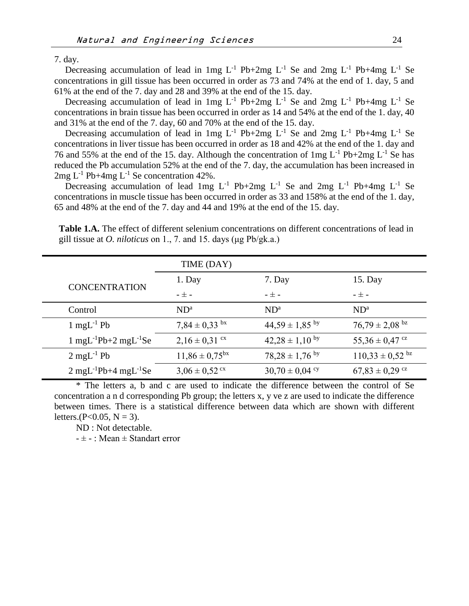7. day.

Decreasing accumulation of lead in 1mg  $L^{-1}$  Pb+2mg  $L^{-1}$  Se and 2mg  $L^{-1}$  Pb+4mg  $L^{-1}$  Se concentrations in gill tissue has been occurred in order as 73 and 74% at the end of 1. day, 5 and 61% at the end of the 7. day and 28 and 39% at the end of the 15. day.

Decreasing accumulation of lead in 1mg  $L^{-1}$  Pb+2mg  $L^{-1}$  Se and 2mg  $L^{-1}$  Pb+4mg  $L^{-1}$  Se concentrations in brain tissue has been occurred in order as 14 and 54% at the end of the 1. day, 40 and 31% at the end of the 7. day, 60 and 70% at the end of the 15. day.

Decreasing accumulation of lead in 1mg  $L^{-1}$  Pb+2mg  $L^{-1}$  Se and 2mg  $L^{-1}$  Pb+4mg  $L^{-1}$  Se concentrations in liver tissue has been occurred in order as 18 and 42% at the end of the 1. day and 76 and 55% at the end of the 15. day. Although the concentration of  $1mg L^{-1}Pb+2mg L^{-1}$  Se has reduced the Pb accumulation 52% at the end of the 7. day, the accumulation has been increased in  $2mg L<sup>-1</sup> Pb+4mg L<sup>-1</sup> Se concentration 42%.$ 

Decreasing accumulation of lead 1mg  $L^{-1}$  Pb+2mg  $L^{-1}$  Se and 2mg  $L^{-1}$  Pb+4mg  $L^{-1}$  Se concentrations in muscle tissue has been occurred in order as 33 and 158% at the end of the 1. day, 65 and 48% at the end of the 7. day and 44 and 19% at the end of the 15. day.

**Table 1.A.** The effect of different selenium concentrations on different concentrations of lead in gill tissue at *O. niloticus* on 1., 7. and 15. days (μg Pb/gk.a.)

|                                                         | TIME (DAY)                    |                      |                                 |
|---------------------------------------------------------|-------------------------------|----------------------|---------------------------------|
| <b>CONCENTRATION</b>                                    | 1. Day                        | 7. Day               | 15. Day                         |
|                                                         | $ \pm$ $-$                    | - ± -                | $ \pm$ $-$                      |
| Control                                                 | $ND^a$                        | $ND^a$               | $ND^a$                          |
| $1 \text{ mgL}^{-1}$ Pb                                 | $7,84 \pm 0,33$ bx            | $44,59 \pm 1,85$ by  | $76,79 \pm 2,08$ <sup>bz</sup>  |
| $1 \text{ mgL}^{-1}$ Pb+2 mgL <sup>-1</sup> Se          | $2,16 \pm 0,31$ cx            | $42,28 \pm 1,10^{6}$ | $55,36 \pm 0,47$ cz             |
| $2 \text{ mgL}^{-1}$ Pb                                 | $11,86 \pm 0,75^{bx}$         | $78,28 \pm 1,76$ by  | $110,33 \pm 0,52$ <sup>bz</sup> |
| $2 \text{ mgL}$ <sup>-1</sup> Pb+4 mgL <sup>-1</sup> Se | $3,06 \pm 0,52$ <sup>cx</sup> | $30,70 \pm 0,04$ cy  | $67,83 \pm 0,29$ <sup>cz</sup>  |

\* The letters a, b and c are used to indicate the difference between the control of Se concentration a n d corresponding Pb group; the letters x, y ve z are used to indicate the difference between times. There is a statistical difference between data which are shown with different letters.( $P < 0.05$ ,  $N = 3$ ).

ND : Not detectable.

 $- \pm -$ : Mean  $\pm$  Standart error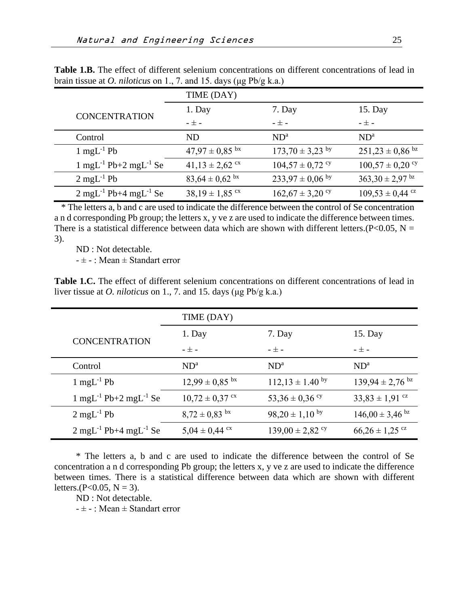|                                                | TIME (DAY)                     |                      |                                 |
|------------------------------------------------|--------------------------------|----------------------|---------------------------------|
| <b>CONCENTRATION</b>                           | 1. Day                         | 7. Day               | 15. Day                         |
|                                                | $ \pm$ $-$                     | $ \pm$ $-$           | $ \pm$ $-$                      |
| Control                                        | <b>ND</b>                      | $ND^a$               | $ND^a$                          |
| $1 \text{ mgL}^{-1}$ Pb                        | $47.97 \pm 0.85$ <sup>bx</sup> | $173,70 \pm 3,23$ by | $251,23 \pm 0,86$ <sup>bz</sup> |
| $1 \text{ mgL}^{-1}$ Pb+2 mgL <sup>-1</sup> Se | $41,13 \pm 2,62$ cx            | $104,57 \pm 0,72$ cy | $100,57 \pm 0,20$ cy            |
| $2 \text{ mgL}^{-1}$ Pb                        | $83,64 \pm 0,62$ <sup>bx</sup> | $233,97 \pm 0,06$ by | $363,30 \pm 2,97$ <sup>bz</sup> |
| $2 \text{ mgL}^{-1}$ Pb+4 mgL <sup>-1</sup> Se | $38.19 \pm 1.85$ <sup>cx</sup> | $162,67 \pm 3,20$ cy | $109,53 \pm 0,44$ <sup>cz</sup> |

**Table 1.B.** The effect of different selenium concentrations on different concentrations of lead in brain tissue at *O. niloticus* on 1., 7. and 15. days (μg Pb/g k.a.)

\* The letters a, b and c are used to indicate the difference between the control of Se concentration a n d corresponding Pb group; the letters x, y ve z are used to indicate the difference between times. There is a statistical difference between data which are shown with different letters.( $P<0.05$ , N = 3).

ND : Not detectable.

 $- \pm -$ : Mean  $\pm$  Standart error

**Table 1.C.** The effect of different selenium concentrations on different concentrations of lead in liver tissue at *O. niloticus* on 1., 7. and 15. days (μg Pb/g k.a.)

|                                                | TIME (DAY)                    |                      |                                 |
|------------------------------------------------|-------------------------------|----------------------|---------------------------------|
|                                                | 1. Day                        | 7. Day               | 15. Day                         |
| <b>CONCENTRATION</b>                           | $ \pm$ $-$                    | $ \pm$ $-$           | $ \pm$ $-$                      |
| Control                                        | $ND^a$                        | ND <sup>a</sup>      | ND <sup>a</sup>                 |
| $1 \text{ mgL}^{-1}$ Pb                        | $12,99 \pm 0,85$ bx           | $112,13 \pm 1.40$ by | $139,94 \pm 2,76$ <sup>bz</sup> |
| $1 \text{ mgL}^{-1}$ Pb+2 mgL <sup>-1</sup> Se | $10,72 \pm 0,37$ cx           | 53,36 $\pm$ 0,36 °   | $33,83 \pm 1,91$ cz             |
| $2 \text{ mgL}^{-1}$ Pb                        | $8,72 \pm 0,83$ <sup>bx</sup> | $98,20 \pm 1,10^{6}$ | $146,00 \pm 3,46$ bz            |
| $2 \text{ mgL}^{-1}$ Pb+4 mgL <sup>-1</sup> Se | $5,04 \pm 0,44$ cx            | $139,00 \pm 2,82$ cy | $66,26 \pm 1,25$ <sup>cz</sup>  |

\* The letters a, b and c are used to indicate the difference between the control of Se concentration a n d corresponding Pb group; the letters x, y ve z are used to indicate the difference between times. There is a statistical difference between data which are shown with different letters.( $P < 0.05$ ,  $N = 3$ ).

ND : Not detectable.

 $- \pm -$ : Mean  $\pm$  Standart error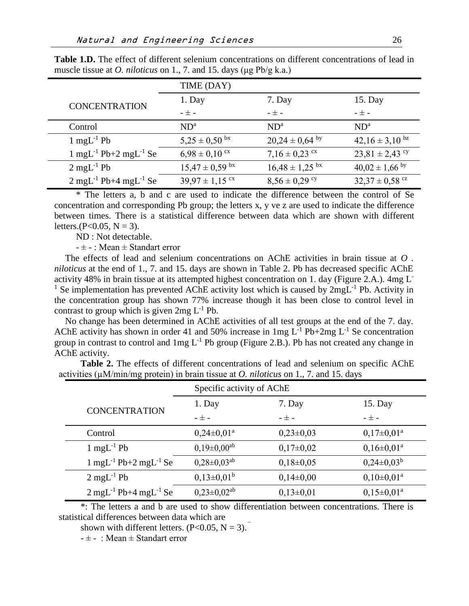|                                                | TIME (DAY)                     |                                |                                |
|------------------------------------------------|--------------------------------|--------------------------------|--------------------------------|
| <b>CONCENTRATION</b>                           | 1. Day                         | 7. Day                         | 15. Day                        |
|                                                | $ \pm$ $-$                     | $ \pm$ $-$                     | - 士 -                          |
| Control                                        | $ND^a$                         | ND <sup>a</sup>                | ND <sup>a</sup>                |
| $1 \text{ mgL}^{-1}$ Pb                        | $5,25 \pm 0,50$ bx             | $20,24 \pm 0,64$ by            | $42,16 \pm 3,10^{6}$           |
| $1 \text{ mgL}^{-1}$ Pb+2 mgL <sup>-1</sup> Se | $6,98 \pm 0,10$ cx             | $7,16 \pm 0,23$ cx             | $23,81 \pm 2,43$ <sup>cy</sup> |
| $2 \text{ mgL}^{-1}$ Pb                        | $15,47 \pm 0,59$ <sup>bx</sup> | $16,48 \pm 1,25$ <sup>bx</sup> | $40,02 \pm 1,66$ by            |
| $2 \text{ mgL}^{-1}$ Pb+4 mgL <sup>-1</sup> Se | $39,97 \pm 1,15$ cx            | $8,56 \pm 0,29$ cy             | $32,37 \pm 0,58$ cz            |

**Table 1.D.** The effect of different selenium concentrations on different concentrations of lead in muscle tissue at *O. niloticus* on 1., 7. and 15. days (μg Pb/g k.a.)

\* The letters a, b and c are used to indicate the difference between the control of Se concentration and corresponding Pb group; the letters x, y ve z are used to indicate the difference between times. There is a statistical difference between data which are shown with different letters.( $P < 0.05$ ,  $N = 3$ ).

ND : Not detectable.

 $- \pm -$ : Mean  $\pm$  Standart error

The effects of lead and selenium concentrations on AChE activities in brain tissue at *O . niloticus* at the end of 1., 7. and 15. days are shown in Table 2. Pb has decreased specific AChE activity 48% in brain tissue at its attempted highest concentration on 1. day (Figure 2.A.). 4mg L-<sup>1</sup> Se implementation has prevented AChE activity lost which is caused by  $2mgL^{-1}$  Pb. Activity in the concentration group has shown 77% increase though it has been close to control level in contrast to group which is given  $2mg L^{-1}Pb$ .

No change has been determined in AChE activities of all test groups at the end of the 7. day. AChE activity has shown in order 41 and 50% increase in 1mg  $L^{-1}$  Pb+2mg  $L^{-1}$  Se concentration group in contrast to control and  $1mg L<sup>-1</sup>$  Pb group (Figure 2.B.). Pb has not created any change in AChE activity.

**Table 2.** The effects of different concentrations of lead and selenium on specific AChE activities (µM/min/mg protein) in brain tissue at *O. niloticus* on 1., 7. and 15. days

|                                                | Specific activity of AChE |               |                       |
|------------------------------------------------|---------------------------|---------------|-----------------------|
| <b>CONCENTRATION</b>                           | 1. Day                    | 7. Day        | 15. Day               |
|                                                | $ \pm$ $-$                | $ \pm$ $-$    | $ \pm$ $-$            |
| Control                                        | $0,24\pm0,01^{\rm a}$     | $0,23\pm0,03$ | $0,17\pm0,01^{\rm a}$ |
| $1 \text{ mgL}^{-1}$ Pb                        | $0,19\pm0,00^{ab}$        | $0,17\pm0,02$ | $0,16\pm0,01^a$       |
| $1 \text{ mgL}^{-1}$ Pb+2 mgL <sup>-1</sup> Se | $0,28\pm0,03^{ab}$        | $0,18\pm0,05$ | $0,24\pm0.03^b$       |
| $2 \text{ mgL}^{-1}$ Pb                        | $0,13\pm0,01^{\rm b}$     | $0,14\pm0,00$ | $0,10\pm0,01^{\rm a}$ |
| $2 \text{ mgL}^{-1}$ Pb+4 mgL <sup>-1</sup> Se | $0,23\pm0,02^{ab}$        | $0,13\pm0,01$ | $0,15\pm0,01^{\rm a}$ |

\*: The letters a and b are used to show differentiation between concentrations. There is statistical differences between data which are

shown with different letters.  $(P<0.05, N = 3)$ .

 $- \pm -$ : Mean  $\pm$  Standart error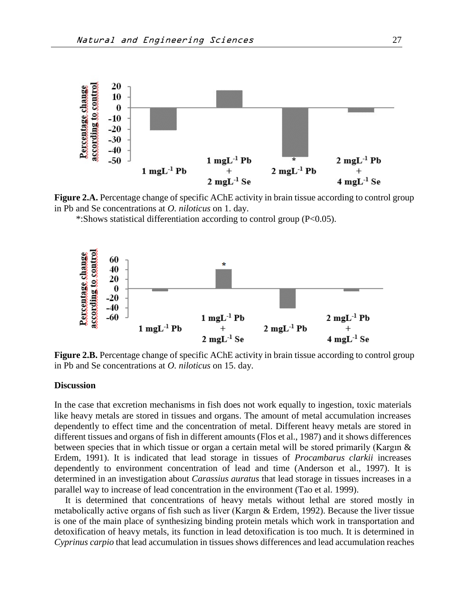

**Figure 2.A.** Percentage change of specific AChE activity in brain tissue according to control group in Pb and Se concentrations at *O. niloticus* on 1. day.

\*:Shows statistical differentiation according to control group (P<0.05).



**Figure 2.B.** Percentage change of specific AChE activity in brain tissue according to control group in Pb and Se concentrations at *O. niloticus* on 15. day.

#### **Discussion**

In the case that excretion mechanisms in fish does not work equally to ingestion, toxic materials like heavy metals are stored in tissues and organs. The amount of metal accumulation increases dependently to effect time and the concentration of metal. Different heavy metals are stored in different tissues and organs of fish in different amounts (Flos et al., 1987) and it shows differences between species that in which tissue or organ a certain metal will be stored primarily (Kargın & Erdem, 1991). It is indicated that lead storage in tissues of *Procambarus clarkii* increases dependently to environment concentration of lead and time (Anderson et al., 1997). It is determined in an investigation about *Carassius auratus* that lead storage in tissues increases in a parallel way to increase of lead concentration in the environment (Tao et al. 1999).

It is determined that concentrations of heavy metals without lethal are stored mostly in metabolically active organs of fish such as liver (Kargın & Erdem, 1992). Because the liver tissue is one of the main place of synthesizing binding protein metals which work in transportation and detoxification of heavy metals, its function in lead detoxification is too much. It is determined in *Cyprinus carpio* that lead accumulation in tissues shows differences and lead accumulation reaches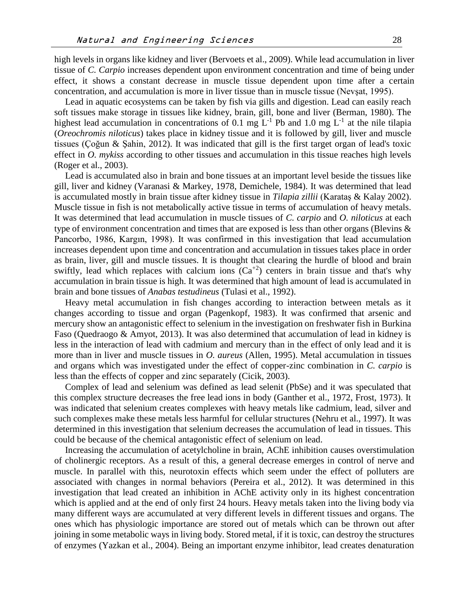high levels in organs like kidney and liver (Bervoets et al., 2009). While lead accumulation in liver tissue of *C. Carpio* increases dependent upon environment concentration and time of being under effect, it shows a constant decrease in muscle tissue dependent upon time after a certain concentration, and accumulation is more in liver tissue than in muscle tissue (Nevşat, 1995).

Lead in aquatic ecosystems can be taken by fish via gills and digestion. Lead can easily reach soft tissues make storage in tissues like kidney, brain, gill, bone and liver (Berman, 1980). The highest lead accumulation in concentrations of 0.1 mg  $L^{-1}$  Pb and 1.0 mg  $L^{-1}$  at the nile tilapia (*Oreochromis niloticus*) takes place in kidney tissue and it is followed by gill, liver and muscle tissues (Çoğun & Şahin, 2012). It was indicated that gill is the first target organ of lead's toxic effect in *O. mykiss* according to other tissues and accumulation in this tissue reaches high levels (Roger et al., 2003).

Lead is accumulated also in brain and bone tissues at an important level beside the tissues like gill, liver and kidney (Varanasi & Markey, 1978, Demichele, 1984). It was determined that lead is accumulated mostly in brain tissue after kidney tissue in *Tilapia zillii* (Karataş & Kalay 2002). Muscle tissue in fish is not metabolically active tissue in terms of accumulation of heavy metals. It was determined that lead accumulation in muscle tissues of *C. carpio* and *O. niloticus* at each type of environment concentration and times that are exposed is less than other organs (Blevins & Pancorbo, 1986, Kargın, 1998). It was confirmed in this investigation that lead accumulation increases dependent upon time and concentration and accumulation in tissues takes place in order as brain, liver, gill and muscle tissues. It is thought that clearing the hurdle of blood and brain swiftly, lead which replaces with calcium ions  $(Ca^{2})$  centers in brain tissue and that's why accumulation in brain tissue is high. It was determined that high amount of lead is accumulated in brain and bone tissues of *Anabas testudineus* (Tulasi et al., 1992).

Heavy metal accumulation in fish changes according to interaction between metals as it changes according to tissue and organ (Pagenkopf, 1983). It was confirmed that arsenic and mercury show an antagonistic effect to selenium in the investigation on freshwater fish in Burkina Faso (Quedraogo & Amyot, 2013). It was also determined that accumulation of lead in kidney is less in the interaction of lead with cadmium and mercury than in the effect of only lead and it is more than in liver and muscle tissues in *O. aureus* (Allen, 1995). Metal accumulation in tissues and organs which was investigated under the effect of copper-zinc combination in *C. carpio* is less than the effects of copper and zinc separately (Cicik, 2003).

Complex of lead and selenium was defined as lead selenit (PbSe) and it was speculated that this complex structure decreases the free lead ions in body (Ganther et al., 1972, Frost, 1973). It was indicated that selenium creates complexes with heavy metals like cadmium, lead, silver and such complexes make these metals less harmful for cellular structures (Nehru et al., 1997). It was determined in this investigation that selenium decreases the accumulation of lead in tissues. This could be because of the chemical antagonistic effect of selenium on lead.

Increasing the accumulation of acetylcholine in brain, AChE inhibition causes overstimulation of cholinergic receptors. As a result of this, a general decrease emerges in control of nerve and muscle. In parallel with this, neurotoxin effects which seem under the effect of polluters are associated with changes in normal behaviors (Pereira et al., 2012). It was determined in this investigation that lead created an inhibition in AChE activity only in its highest concentration which is applied and at the end of only first 24 hours. Heavy metals taken into the living body via many different ways are accumulated at very different levels in different tissues and organs. The ones which has physiologic importance are stored out of metals which can be thrown out after joining in some metabolic ways in living body. Stored metal, if it is toxic, can destroy the structures of enzymes (Yazkan et al., 2004). Being an important enzyme inhibitor, lead creates denaturation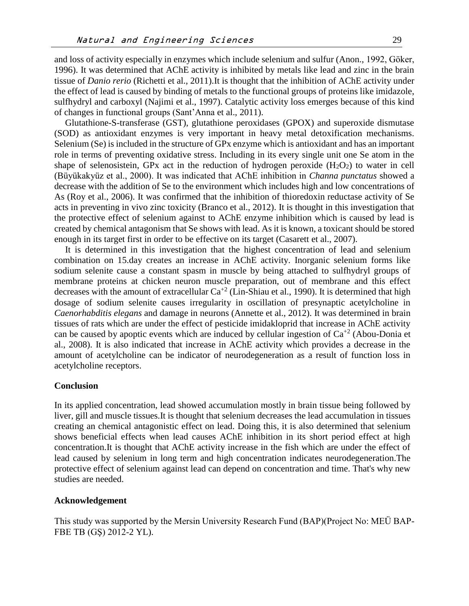and loss of activity especially in enzymes which include selenium and sulfur (Anon., 1992, Göker, 1996). It was determined that AChE activity is inhibited by metals like lead and zinc in the brain tissue of *Danio rerio* (Richetti et al., 2011).It is thought that the inhibition of AChE activity under the effect of lead is caused by binding of metals to the functional groups of proteins like imidazole, sulfhydryl and carboxyl (Najimi et al., 1997). Catalytic activity loss emerges because of this kind of changes in functional groups (Sant'Anna et al., 2011).

Glutathione-S-transferase (GST), glutathione peroxidases (GPOX) and superoxide dismutase (SOD) as antioxidant enzymes is very important in heavy metal detoxification mechanisms. Selenium (Se) is included in the structure of GPx enzyme which is antioxidant and has an important role in terms of preventing oxidative stress. Including in its every single unit one Se atom in the shape of selenosistein, GPx act in the reduction of hydrogen peroxide  $(H_2O_2)$  to water in cell (Büyükakyüz et al., 2000). It was indicated that AChE inhibition in *Channa punctatus* showed a decrease with the addition of Se to the environment which includes high and low concentrations of As (Roy et al., 2006). It was confirmed that the inhibition of thioredoxin reductase activity of Se acts in preventing in vivo zinc toxicity (Branco et al., 2012). It is thought in this investigation that the protective effect of selenium against to AChE enzyme inhibition which is caused by lead is created by chemical antagonism that Se shows with lead. As it is known, a toxicant should be stored enough in its target first in order to be effective on its target (Casarett et al., 2007).

It is determined in this investigation that the highest concentration of lead and selenium combination on 15.day creates an increase in AChE activity. Inorganic selenium forms like sodium selenite cause a constant spasm in muscle by being attached to sulfhydryl groups of membrane proteins at chicken neuron muscle preparation, out of membrane and this effect decreases with the amount of extracellular  $Ca^{+2}$  (Lin-Shiau et al., 1990). It is determined that high dosage of sodium selenite causes irregularity in oscillation of presynaptic acetylcholine in *Caenorhabditis elegans* and damage in neurons (Annette et al., 2012). It was determined in brain tissues of rats which are under the effect of pesticide imidakloprid that increase in AChE activity can be caused by apoptic events which are induced by cellular ingestion of  $Ca^{+2}$  (Abou-Donia et al., 2008). It is also indicated that increase in AChE activity which provides a decrease in the amount of acetylcholine can be indicator of neurodegeneration as a result of function loss in acetylcholine receptors.

#### **Conclusion**

In its applied concentration, lead showed accumulation mostly in brain tissue being followed by liver, gill and muscle tissues.It is thought that selenium decreases the lead accumulation in tissues creating an chemical antagonistic effect on lead. Doing this, it is also determined that selenium shows beneficial effects when lead causes AChE inhibition in its short period effect at high concentration.It is thought that AChE activity increase in the fish which are under the effect of lead caused by selenium in long term and high concentration indicates neurodegeneration.The protective effect of selenium against lead can depend on concentration and time. That's why new studies are needed.

#### **Acknowledgement**

This study was supported by the Mersin University Research Fund (BAP)(Project No: MEÜ BAP-FBE TB (GŞ) 2012-2 YL).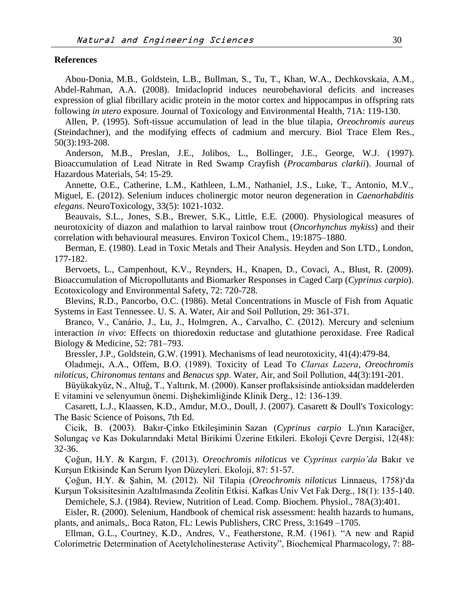#### **References**

Abou-Donia, M.B., Goldstein, L.B., Bullman, S., Tu, T., Khan, W.A., Dechkovskaia, A.M., Abdel-Rahman, A.A. (2008). Imidacloprid induces neurobehavioral deficits and increases expression of glial fibrillary acidic protein in the motor cortex and hippocampus in offspring rats following *in utero* exposure. Journal of Toxicology and Environmental Health, 71A: 119-130.

Allen, P. (1995). Soft-tissue accumulation of lead in the blue tilapia, *Oreochromis aureus*  (Steindachner), and the modifying effects of cadmium and mercury. Biol Trace Elem Res., 50(3):193-208.

Anderson, M.B., Preslan, J.E., Jolibos, L., Bollinger, J.E., George, W.J. (1997). Bioaccumulation of Lead Nitrate in Red Swamp Crayfish (*Procambarus clarkii*). Journal of Hazardous Materials, 54: 15-29.

Annette, O.E., Catherine, L.M., Kathleen, L.M., Nathaniel, J.S., Luke, T., Antonio, M.V., Miguel, E. (2012). Selenium induces cholinergic motor neuron degeneration in *Caenorhabditis elegans*. NeuroToxicology, 33(5): 1021-1032.

Beauvais, S.L., Jones, S.B., Brewer, S.K., Little, E.E. (2000). Physiological measures of neurotoxicity of diazon and malathion to larval rainbow trout (*Oncorhynchus mykiss*) and their correlation with behavioural measures. Environ Toxicol Chem., 19:1875–1880.

Berman, E. (1980). Lead in Toxic Metals and Their Analysis. Heyden and Son LTD., London, 177-182.

Bervoets, L., Campenhout, K.V., Reynders, H., Knapen, D., Covaci, A., Blust, R. (2009). Bioaccumulation of Micropollutants and Biomarker Responses in Caged Carp (*Cyprinus carpio*). Ecotoxicology and Environmental Safety, 72: 720-728.

Blevins, R.D., Pancorbo, O.C. (1986). Metal Concentrations in Muscle of Fish from Aquatic Systems in East Tennessee. U. S. A. Water, Air and Soil Pollution, 29: 361-371.

Branco, V., Canário, J., Lu, J., Holmgren, A., Carvalho, C. (2012). Mercury and selenium interaction *in vivo*: Effects on thioredoxin reductase and glutathione peroxidase. Free Radical Biology & Medicine, 52: 781–793.

Bressler, J.P., Goldstein, G.W. (1991). Mechanisms of lead neurotoxicity, 41(4):479-84.

Oladımejı, A.A., Offem, B.O. (1989). Toxicity of Lead To *Clarıas Lazera*, *Oreochromis niloticus*, *Chironomus tentans* and *Benacus spp*. Water, Air, and Soil [Pollution,](http://link.springer.com/journal/11270) 44(3):191-201.

Büyükakyüz, N., Altuğ, T., Yaltırık, M. (2000). Kanser proflaksisinde antioksidan maddelerden E vitamini ve selenyumun önemi. Dişhekimliğinde Klinik Derg., 12: 136-139.

Casarett, L.J., Klaassen, K.D., Amdur, M.O., Doull, J. (2007). Casarett & Doull's Toxicology: The Basic Science of Poisons, 7th Ed.

Cicik, B. (2003). Bakır-Çinko Etkileşiminin Sazan (*Cyprinus carpio* L.)'nın Karaciğer, Solungaç ve Kas Dokularındaki Metal Birikimi Üzerine Etkileri. Ekoloji Çevre Dergisi, 12(48): 32-36.

Çoğun, H.Y. & Kargın, F. (2013). *Oreochromis niloticus* ve *Cyprinus carpio'da* Bakır ve Kurşun Etkisinde Kan Serum Iyon Düzeyleri. Ekoloji, 87: 51-57.

Çoğun, H.Y. & Şahin, M. (2012). Nil Tilapia (*Oreochromis niloticus* Linnaeus, 1758)'da Kurşun Toksisitesinin Azaltılmasında Zeolitin Etkisi. Kafkas Univ Vet Fak Derg., 18(1): 135-140. Demichele, S.J. (1984). Review, Nutrition of Lead. Comp. Biochem. Physiol., 78A(3):401.

Eisler, R. (2000). Selenium, Handbook of chemical risk assessment: health hazards to humans, plants, and animals,. Boca Raton, FL: Lewis Publishers, CRC Press, 3:1649 –1705.

Ellman, G.L., Courtney, K.D., Andres, V., Featherstone, R.M. (1961). "A new and Rapid Colorimetric Determination of Acetylcholinesterase Activity", Biochemical Pharmacology, 7: 88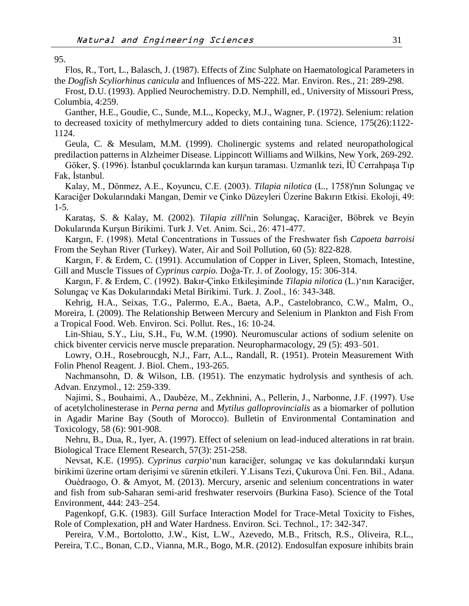95.

Flos, R., Tort, L., Balasch, J. (1987). Effects of Zinc Sulphate on Haematological Parameters in the *Dogfish Scyliorhinus canicula* and Influences of MS-222. Mar. Environ. Res., 21: 289-298.

Frost, D.U. (1993). Applied Neurochemistry. D.D. Nemphill, ed., University of Missouri Press, Columbia, 4:259.

Ganther, H.E., Goudie, C., Sunde, M.L., Kopecky, M.J., Wagner, P. (1972). Selenium: relation to decreased toxicity of methylmercury added to diets containing tuna. Science, 175(26):1122- 1124.

Geula, C. & Mesulam, M.M. (1999). Cholinergic systems and related neuropathological predilaction patterns in Alzheimer Disease. Lippincott Williams and Wilkins, New York, 269-292.

Göker, Ş. (1996). İstanbul çocuklarında kan kurşun taraması. Uzmanlık tezi, İÜ Cerrahpaşa Tıp Fak, İstanbul.

Kalay, M., Dönmez, A.E., Koyuncu, C.E. (2003). *Tilapia nilotica* (L., 1758)'nın Solungaç ve Karaciğer Dokularındaki Mangan, Demir ve Çinko Düzeyleri Üzerine Bakırın Etkisi. Ekoloji, 49: 1-5.

Karataş, S. & Kalay, M. (2002). *Tilapia zilli*'nin Solungaç, Karaciğer, Böbrek ve Beyin Dokularında Kurşun Birikimi. Turk J. Vet. Anim. Sci., 26: 471-477.

Kargın, F. (1998). Metal Concentrations in Tussues of the Freshwater fish *Capoeta barroisi*  From the Seyhan River (Turkey). Water, Air and Soil Pollution, 60 (5): 822-828.

Kargın, F. & Erdem, C. (1991). Accumulation of Copper in Liver, Spleen, Stomach, Intestine, Gill and Muscle Tissues of *Cyprinus carpio.* Doğa-Tr. J. of Zoology, 15: 306-314.

Kargın, F. & Erdem, C. (1992). Bakır-Çinko Etkileşiminde *Tilapia nilotica* (L.)'nın Karaciğer, Solungaç ve Kas Dokularındaki Metal Birikimi. Turk. J. Zool., 16: 343-348.

Kehrig, H.A., Seixas, T.G., Palermo, E.A., Baeta, A.P., Castelobranco, C.W., Malm, O., Moreira, I. (2009). The Relationship Between Mercury and Selenium in Plankton and Fish From a Tropical Food. Web. Environ. Sci. Pollut. Res., 16: 10-24.

Lin-Shiau, S.Y., Liu, S.H., Fu, W.M. (1990). Neuromuscular actions of sodium selenite on chick biventer cervicis nerve muscle preparation. Neuropharmacology, 29 (5): 493–501.

Lowry, O.H., Rosebroucgh, N.J., Farr, A.L., Randall, R. (1951). Protein Measurement With Folin Phenol Reagent. J. Biol. Chem., 193-265.

Nachmansohn, D. & Wilson, I.B. (1951). The enzymatic hydrolysis and synthesis of ach. Advan. Enzymol., 12: 259-339.

Najimi, S., Bouhaimi, A., Daubèze, M., Zekhnini, A., Pellerin, J., Narbonne, J.F. (1997). Use of acetylcholinesterase in *Perna perna* and *Mytilus galloprovincialis* as a biomarker of pollution in Agadir Marine Bay (South of Morocco). Bulletin of Environmental Contamination and Toxicology, 58 (6): 901-908.

Nehru, B., Dua, R., Iyer, A. (1997). Effect of selenium on lead-induced alterations in rat brain. Biological Trace Element Research, 57(3): 251-258.

Nevsat, K.E. (1995). *Cyprinus carpio*'nun karaciğer, solungaç ve kas dokularındaki kurşun birikimi üzerine ortam derişimi ve sürenin etkileri. Y.Lisans Tezi, Çukurova Üni. Fen. Bil., Adana.

Ouédraogo, O. & Amyot, M. (2013). Mercury, arsenic and selenium concentrations in water and fish from sub-Saharan semi-arid freshwater reservoirs (Burkina Faso). Science of the Total Environment, 444: 243–254.

Pagenkopf, G.K. (1983). Gill Surface Interaction Model for Trace-Metal Toxicity to Fishes, Role of Complexation, pH and Water Hardness. Environ. Sci. Technol., 17: 342-347.

Pereira, V.M., Bortolotto, J.W., Kist, L.W., Azevedo, M.B., Fritsch, R.S., Oliveira, R.L., Pereira, T.C., Bonan, C.D., Vianna, M.R., Bogo, M.R. (2012). Endosulfan exposure inhibits brain